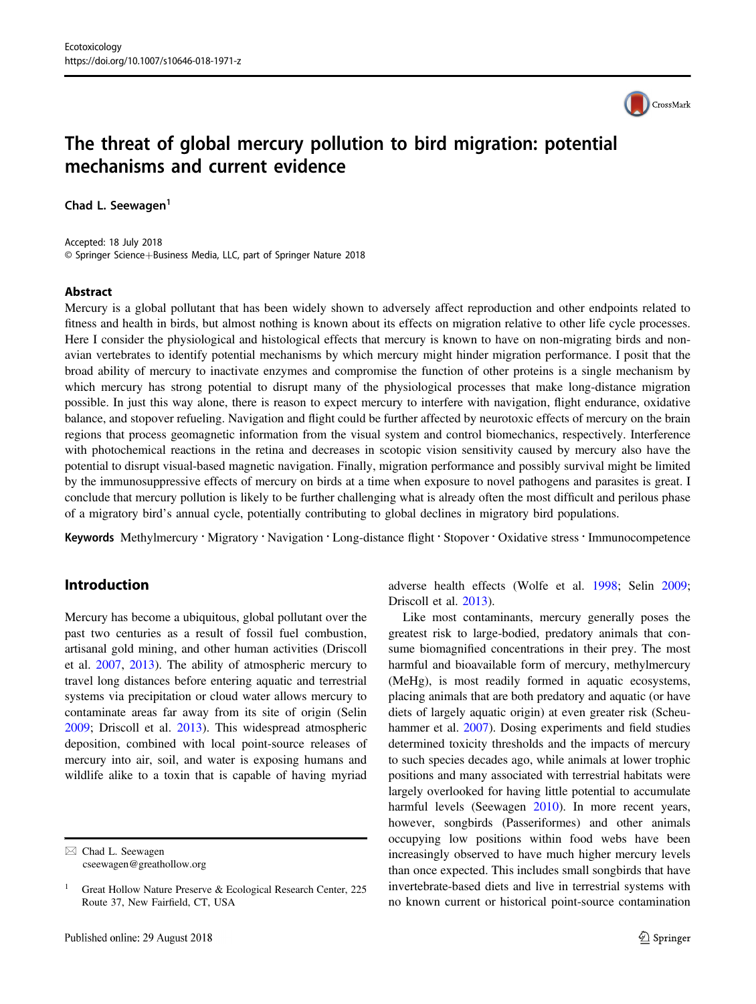

# The threat of global mercury pollution to bird migration: potential mechanisms and current evidence

Chad L. Seewagen<sup>1</sup>

Accepted: 18 July 2018 © Springer Science+Business Media, LLC, part of Springer Nature 2018

#### Abstract

Mercury is a global pollutant that has been widely shown to adversely affect reproduction and other endpoints related to fitness and health in birds, but almost nothing is known about its effects on migration relative to other life cycle processes. Here I consider the physiological and histological effects that mercury is known to have on non-migrating birds and nonavian vertebrates to identify potential mechanisms by which mercury might hinder migration performance. I posit that the broad ability of mercury to inactivate enzymes and compromise the function of other proteins is a single mechanism by which mercury has strong potential to disrupt many of the physiological processes that make long-distance migration possible. In just this way alone, there is reason to expect mercury to interfere with navigation, flight endurance, oxidative balance, and stopover refueling. Navigation and flight could be further affected by neurotoxic effects of mercury on the brain regions that process geomagnetic information from the visual system and control biomechanics, respectively. Interference with photochemical reactions in the retina and decreases in scotopic vision sensitivity caused by mercury also have the potential to disrupt visual-based magnetic navigation. Finally, migration performance and possibly survival might be limited by the immunosuppressive effects of mercury on birds at a time when exposure to novel pathogens and parasites is great. I conclude that mercury pollution is likely to be further challenging what is already often the most difficult and perilous phase of a migratory bird's annual cycle, potentially contributing to global declines in migratory bird populations.

Keywords Methylmercury · Migratory · Navigation · Long-distance flight · Stopover · Oxidative stress · Immunocompetence

## Introduction

Mercury has become a ubiquitous, global pollutant over the past two centuries as a result of fossil fuel combustion, artisanal gold mining, and other human activities (Driscoll et al. [2007,](#page-9-0) [2013](#page-9-0)). The ability of atmospheric mercury to travel long distances before entering aquatic and terrestrial systems via precipitation or cloud water allows mercury to contaminate areas far away from its site of origin (Selin [2009;](#page-12-0) Driscoll et al. [2013](#page-9-0)). This widespread atmospheric deposition, combined with local point-source releases of mercury into air, soil, and water is exposing humans and wildlife alike to a toxin that is capable of having myriad

 $\boxtimes$  Chad L. Seewagen [cseewagen@greathollow.org](mailto:cseewagen@greathollow.org) adverse health effects (Wolfe et al. [1998;](#page-12-0) Selin [2009;](#page-12-0) Driscoll et al. [2013](#page-9-0)).

Like most contaminants, mercury generally poses the greatest risk to large-bodied, predatory animals that consume biomagnified concentrations in their prey. The most harmful and bioavailable form of mercury, methylmercury (MeHg), is most readily formed in aquatic ecosystems, placing animals that are both predatory and aquatic (or have diets of largely aquatic origin) at even greater risk (Scheu-hammer et al. [2007](#page-12-0)). Dosing experiments and field studies determined toxicity thresholds and the impacts of mercury to such species decades ago, while animals at lower trophic positions and many associated with terrestrial habitats were largely overlooked for having little potential to accumulate harmful levels (Seewagen [2010](#page-12-0)). In more recent years, however, songbirds (Passeriformes) and other animals occupying low positions within food webs have been increasingly observed to have much higher mercury levels than once expected. This includes small songbirds that have invertebrate-based diets and live in terrestrial systems with no known current or historical point-source contamination

<sup>&</sup>lt;sup>1</sup> Great Hollow Nature Preserve & Ecological Research Center, 225 Route 37, New Fairfield, CT, USA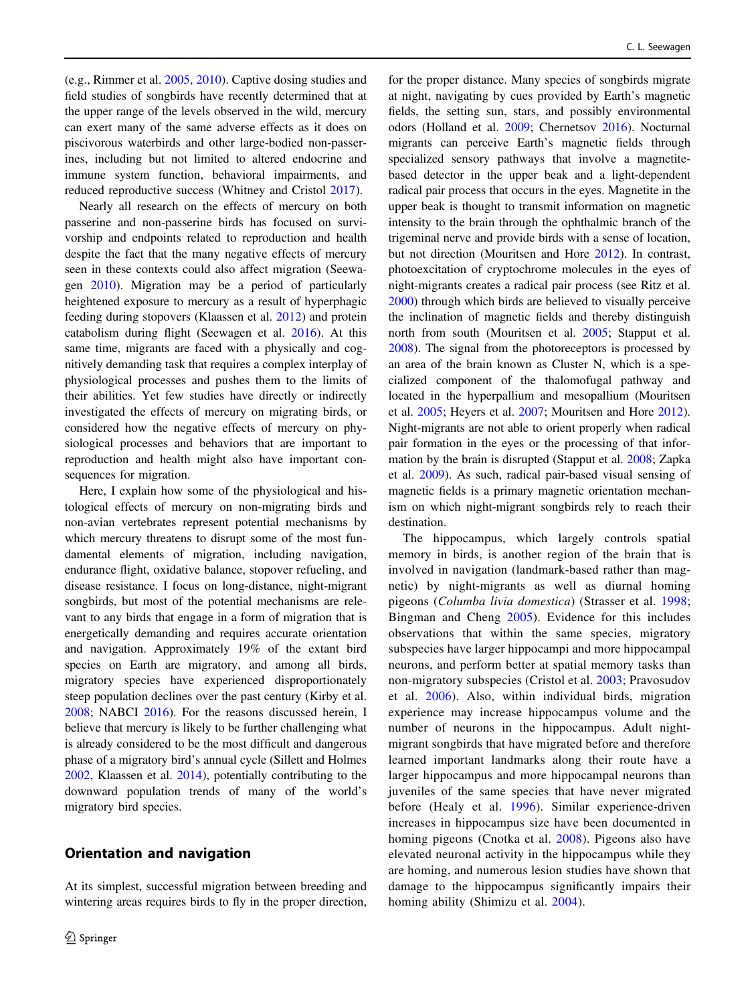(e.g., Rimmer et al. [2005,](#page-11-0) [2010\)](#page-11-0). Captive dosing studies and field studies of songbirds have recently determined that at the upper range of the levels observed in the wild, mercury can exert many of the same adverse effects as it does on piscivorous waterbirds and other large-bodied non-passerines, including but not limited to altered endocrine and immune system function, behavioral impairments, and reduced reproductive success (Whitney and Cristol [2017](#page-12-0)).

Nearly all research on the effects of mercury on both passerine and non-passerine birds has focused on survivorship and endpoints related to reproduction and health despite the fact that the many negative effects of mercury seen in these contexts could also affect migration (Seewagen [2010](#page-12-0)). Migration may be a period of particularly heightened exposure to mercury as a result of hyperphagic feeding during stopovers (Klaassen et al. [2012\)](#page-10-0) and protein catabolism during flight (Seewagen et al. [2016\)](#page-12-0). At this same time, migrants are faced with a physically and cognitively demanding task that requires a complex interplay of physiological processes and pushes them to the limits of their abilities. Yet few studies have directly or indirectly investigated the effects of mercury on migrating birds, or considered how the negative effects of mercury on physiological processes and behaviors that are important to reproduction and health might also have important consequences for migration.

Here, I explain how some of the physiological and histological effects of mercury on non-migrating birds and non-avian vertebrates represent potential mechanisms by which mercury threatens to disrupt some of the most fundamental elements of migration, including navigation, endurance flight, oxidative balance, stopover refueling, and disease resistance. I focus on long-distance, night-migrant songbirds, but most of the potential mechanisms are relevant to any birds that engage in a form of migration that is energetically demanding and requires accurate orientation and navigation. Approximately 19% of the extant bird species on Earth are migratory, and among all birds, migratory species have experienced disproportionately steep population declines over the past century (Kirby et al. [2008;](#page-10-0) NABCI [2016](#page-11-0)). For the reasons discussed herein, I believe that mercury is likely to be further challenging what is already considered to be the most difficult and dangerous phase of a migratory bird's annual cycle (Sillett and Holmes [2002,](#page-12-0) Klaassen et al. [2014](#page-10-0)), potentially contributing to the downward population trends of many of the world's migratory bird species.

## Orientation and navigation

At its simplest, successful migration between breeding and wintering areas requires birds to fly in the proper direction,

for the proper distance. Many species of songbirds migrate at night, navigating by cues provided by Earth's magnetic fields, the setting sun, stars, and possibly environmental odors (Holland et al. [2009;](#page-10-0) Chernetsov [2016\)](#page-9-0). Nocturnal migrants can perceive Earth's magnetic fields through specialized sensory pathways that involve a magnetitebased detector in the upper beak and a light-dependent radical pair process that occurs in the eyes. Magnetite in the upper beak is thought to transmit information on magnetic intensity to the brain through the ophthalmic branch of the trigeminal nerve and provide birds with a sense of location, but not direction (Mouritsen and Hore [2012\)](#page-11-0). In contrast, photoexcitation of cryptochrome molecules in the eyes of night-migrants creates a radical pair process (see Ritz et al. [2000](#page-11-0)) through which birds are believed to visually perceive the inclination of magnetic fields and thereby distinguish north from south (Mouritsen et al. [2005](#page-11-0); Stapput et al. [2008](#page-12-0)). The signal from the photoreceptors is processed by an area of the brain known as Cluster N, which is a specialized component of the thalomofugal pathway and located in the hyperpallium and mesopallium (Mouritsen et al. [2005;](#page-11-0) Heyers et al. [2007;](#page-10-0) Mouritsen and Hore [2012\)](#page-11-0). Night-migrants are not able to orient properly when radical pair formation in the eyes or the processing of that information by the brain is disrupted (Stapput et al. [2008](#page-12-0); Zapka et al. [2009](#page-12-0)). As such, radical pair-based visual sensing of magnetic fields is a primary magnetic orientation mechanism on which night-migrant songbirds rely to reach their destination.

The hippocampus, which largely controls spatial memory in birds, is another region of the brain that is involved in navigation (landmark-based rather than magnetic) by night-migrants as well as diurnal homing pigeons (Columba livia domestica) (Strasser et al. [1998;](#page-12-0) Bingman and Cheng [2005](#page-9-0)). Evidence for this includes observations that within the same species, migratory subspecies have larger hippocampi and more hippocampal neurons, and perform better at spatial memory tasks than non-migratory subspecies (Cristol et al. [2003;](#page-9-0) Pravosudov et al. [2006\)](#page-11-0). Also, within individual birds, migration experience may increase hippocampus volume and the number of neurons in the hippocampus. Adult nightmigrant songbirds that have migrated before and therefore learned important landmarks along their route have a larger hippocampus and more hippocampal neurons than juveniles of the same species that have never migrated before (Healy et al. [1996](#page-10-0)). Similar experience-driven increases in hippocampus size have been documented in homing pigeons (Cnotka et al. [2008\)](#page-9-0). Pigeons also have elevated neuronal activity in the hippocampus while they are homing, and numerous lesion studies have shown that damage to the hippocampus significantly impairs their homing ability (Shimizu et al. [2004\)](#page-12-0).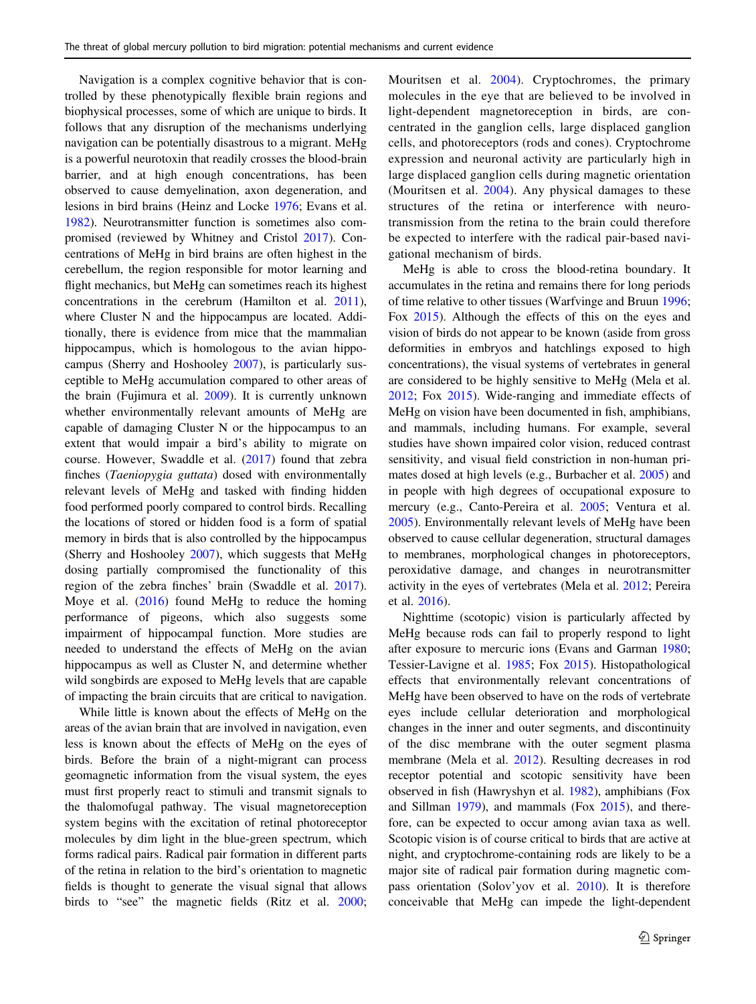Navigation is a complex cognitive behavior that is controlled by these phenotypically flexible brain regions and biophysical processes, some of which are unique to birds. It follows that any disruption of the mechanisms underlying navigation can be potentially disastrous to a migrant. MeHg is a powerful neurotoxin that readily crosses the blood-brain barrier, and at high enough concentrations, has been observed to cause demyelination, axon degeneration, and lesions in bird brains (Heinz and Locke [1976;](#page-10-0) Evans et al. [1982\)](#page-10-0). Neurotransmitter function is sometimes also compromised (reviewed by Whitney and Cristol [2017](#page-12-0)). Concentrations of MeHg in bird brains are often highest in the cerebellum, the region responsible for motor learning and flight mechanics, but MeHg can sometimes reach its highest concentrations in the cerebrum (Hamilton et al. [2011](#page-10-0)), where Cluster N and the hippocampus are located. Additionally, there is evidence from mice that the mammalian hippocampus, which is homologous to the avian hippocampus (Sherry and Hoshooley [2007\)](#page-12-0), is particularly susceptible to MeHg accumulation compared to other areas of the brain (Fujimura et al. [2009\)](#page-10-0). It is currently unknown whether environmentally relevant amounts of MeHg are capable of damaging Cluster N or the hippocampus to an extent that would impair a bird's ability to migrate on course. However, Swaddle et al. ([2017\)](#page-12-0) found that zebra finches (Taeniopygia guttata) dosed with environmentally relevant levels of MeHg and tasked with finding hidden food performed poorly compared to control birds. Recalling the locations of stored or hidden food is a form of spatial memory in birds that is also controlled by the hippocampus (Sherry and Hoshooley [2007\)](#page-12-0), which suggests that MeHg dosing partially compromised the functionality of this region of the zebra finches' brain (Swaddle et al. [2017](#page-12-0)). Moye et al. ([2016\)](#page-11-0) found MeHg to reduce the homing performance of pigeons, which also suggests some impairment of hippocampal function. More studies are needed to understand the effects of MeHg on the avian hippocampus as well as Cluster N, and determine whether wild songbirds are exposed to MeHg levels that are capable of impacting the brain circuits that are critical to navigation.

While little is known about the effects of MeHg on the areas of the avian brain that are involved in navigation, even less is known about the effects of MeHg on the eyes of birds. Before the brain of a night-migrant can process geomagnetic information from the visual system, the eyes must first properly react to stimuli and transmit signals to the thalomofugal pathway. The visual magnetoreception system begins with the excitation of retinal photoreceptor molecules by dim light in the blue-green spectrum, which forms radical pairs. Radical pair formation in different parts of the retina in relation to the bird's orientation to magnetic fields is thought to generate the visual signal that allows birds to "see" the magnetic fields (Ritz et al. [2000](#page-11-0);

Mouritsen et al. [2004](#page-11-0)). Cryptochromes, the primary molecules in the eye that are believed to be involved in light-dependent magnetoreception in birds, are concentrated in the ganglion cells, large displaced ganglion cells, and photoreceptors (rods and cones). Cryptochrome expression and neuronal activity are particularly high in large displaced ganglion cells during magnetic orientation (Mouritsen et al. [2004\)](#page-11-0). Any physical damages to these structures of the retina or interference with neurotransmission from the retina to the brain could therefore be expected to interfere with the radical pair-based navigational mechanism of birds.

MeHg is able to cross the blood-retina boundary. It accumulates in the retina and remains there for long periods of time relative to other tissues (Warfvinge and Bruun [1996;](#page-12-0) Fox [2015](#page-10-0)). Although the effects of this on the eyes and vision of birds do not appear to be known (aside from gross deformities in embryos and hatchlings exposed to high concentrations), the visual systems of vertebrates in general are considered to be highly sensitive to MeHg (Mela et al. [2012](#page-11-0); Fox [2015\)](#page-10-0). Wide-ranging and immediate effects of MeHg on vision have been documented in fish, amphibians, and mammals, including humans. For example, several studies have shown impaired color vision, reduced contrast sensitivity, and visual field constriction in non-human primates dosed at high levels (e.g., Burbacher et al. [2005\)](#page-9-0) and in people with high degrees of occupational exposure to mercury (e.g., Canto-Pereira et al. [2005](#page-9-0); Ventura et al. [2005](#page-12-0)). Environmentally relevant levels of MeHg have been observed to cause cellular degeneration, structural damages to membranes, morphological changes in photoreceptors, peroxidative damage, and changes in neurotransmitter activity in the eyes of vertebrates (Mela et al. [2012;](#page-11-0) Pereira et al. [2016](#page-11-0)).

Nighttime (scotopic) vision is particularly affected by MeHg because rods can fail to properly respond to light after exposure to mercuric ions (Evans and Garman [1980;](#page-10-0) Tessier-Lavigne et al. [1985](#page-12-0); Fox [2015](#page-10-0)). Histopathological effects that environmentally relevant concentrations of MeHg have been observed to have on the rods of vertebrate eyes include cellular deterioration and morphological changes in the inner and outer segments, and discontinuity of the disc membrane with the outer segment plasma membrane (Mela et al. [2012\)](#page-11-0). Resulting decreases in rod receptor potential and scotopic sensitivity have been observed in fish (Hawryshyn et al. [1982](#page-10-0)), amphibians (Fox and Sillman [1979](#page-10-0)), and mammals (Fox [2015](#page-10-0)), and therefore, can be expected to occur among avian taxa as well. Scotopic vision is of course critical to birds that are active at night, and cryptochrome-containing rods are likely to be a major site of radical pair formation during magnetic compass orientation (Solov'yov et al. [2010](#page-12-0)). It is therefore conceivable that MeHg can impede the light-dependent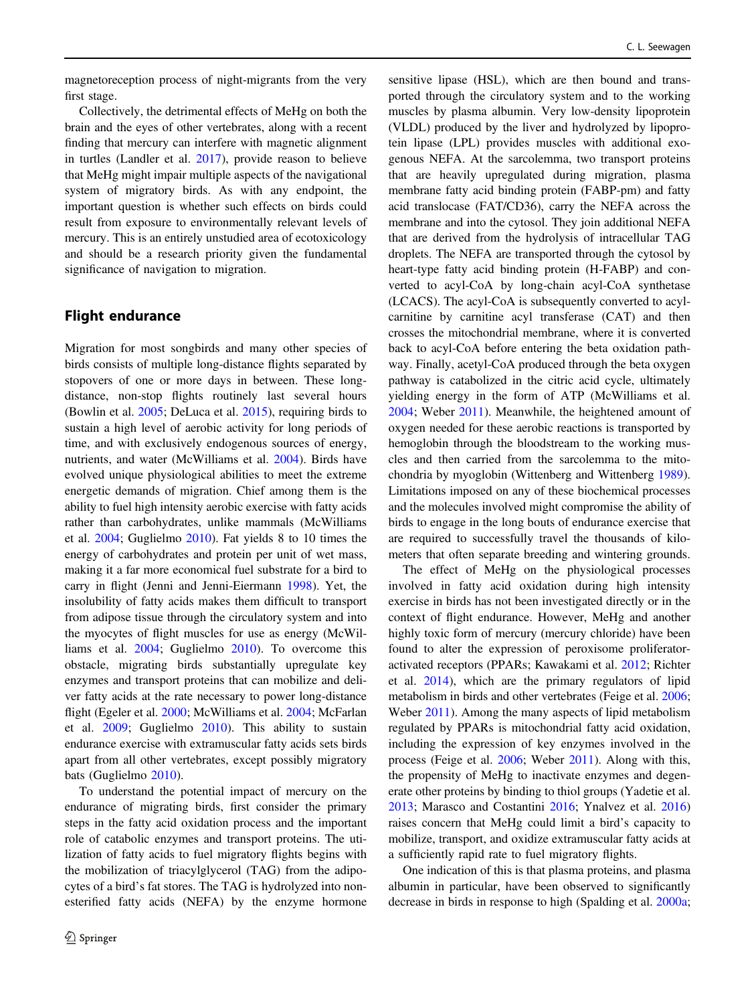magnetoreception process of night-migrants from the very first stage.

Collectively, the detrimental effects of MeHg on both the brain and the eyes of other vertebrates, along with a recent finding that mercury can interfere with magnetic alignment in turtles (Landler et al. [2017\)](#page-11-0), provide reason to believe that MeHg might impair multiple aspects of the navigational system of migratory birds. As with any endpoint, the important question is whether such effects on birds could result from exposure to environmentally relevant levels of mercury. This is an entirely unstudied area of ecotoxicology and should be a research priority given the fundamental significance of navigation to migration.

## Flight endurance

Migration for most songbirds and many other species of birds consists of multiple long-distance flights separated by stopovers of one or more days in between. These longdistance, non-stop flights routinely last several hours (Bowlin et al. [2005;](#page-9-0) DeLuca et al. [2015](#page-9-0)), requiring birds to sustain a high level of aerobic activity for long periods of time, and with exclusively endogenous sources of energy, nutrients, and water (McWilliams et al. [2004\)](#page-11-0). Birds have evolved unique physiological abilities to meet the extreme energetic demands of migration. Chief among them is the ability to fuel high intensity aerobic exercise with fatty acids rather than carbohydrates, unlike mammals (McWilliams et al. [2004;](#page-11-0) Guglielmo [2010\)](#page-10-0). Fat yields 8 to 10 times the energy of carbohydrates and protein per unit of wet mass, making it a far more economical fuel substrate for a bird to carry in flight (Jenni and Jenni-Eiermann [1998](#page-10-0)). Yet, the insolubility of fatty acids makes them difficult to transport from adipose tissue through the circulatory system and into the myocytes of flight muscles for use as energy (McWilliams et al. [2004;](#page-11-0) Guglielmo [2010](#page-10-0)). To overcome this obstacle, migrating birds substantially upregulate key enzymes and transport proteins that can mobilize and deliver fatty acids at the rate necessary to power long-distance flight (Egeler et al. [2000](#page-10-0); McWilliams et al. [2004;](#page-11-0) McFarlan et al. [2009;](#page-11-0) Guglielmo [2010](#page-10-0)). This ability to sustain endurance exercise with extramuscular fatty acids sets birds apart from all other vertebrates, except possibly migratory bats (Guglielmo [2010](#page-10-0)).

To understand the potential impact of mercury on the endurance of migrating birds, first consider the primary steps in the fatty acid oxidation process and the important role of catabolic enzymes and transport proteins. The utilization of fatty acids to fuel migratory flights begins with the mobilization of triacylglycerol (TAG) from the adipocytes of a bird's fat stores. The TAG is hydrolyzed into nonesterified fatty acids (NEFA) by the enzyme hormone

sensitive lipase (HSL), which are then bound and transported through the circulatory system and to the working muscles by plasma albumin. Very low-density lipoprotein (VLDL) produced by the liver and hydrolyzed by lipoprotein lipase (LPL) provides muscles with additional exogenous NEFA. At the sarcolemma, two transport proteins that are heavily upregulated during migration, plasma membrane fatty acid binding protein (FABP-pm) and fatty acid translocase (FAT/CD36), carry the NEFA across the membrane and into the cytosol. They join additional NEFA that are derived from the hydrolysis of intracellular TAG droplets. The NEFA are transported through the cytosol by heart-type fatty acid binding protein (H-FABP) and converted to acyl-CoA by long-chain acyl-CoA synthetase (LCACS). The acyl-CoA is subsequently converted to acylcarnitine by carnitine acyl transferase (CAT) and then crosses the mitochondrial membrane, where it is converted back to acyl-CoA before entering the beta oxidation pathway. Finally, acetyl-CoA produced through the beta oxygen pathway is catabolized in the citric acid cycle, ultimately yielding energy in the form of ATP (McWilliams et al. [2004](#page-11-0); Weber [2011\)](#page-12-0). Meanwhile, the heightened amount of oxygen needed for these aerobic reactions is transported by hemoglobin through the bloodstream to the working muscles and then carried from the sarcolemma to the mitochondria by myoglobin (Wittenberg and Wittenberg [1989\)](#page-12-0). Limitations imposed on any of these biochemical processes and the molecules involved might compromise the ability of birds to engage in the long bouts of endurance exercise that are required to successfully travel the thousands of kilometers that often separate breeding and wintering grounds.

The effect of MeHg on the physiological processes involved in fatty acid oxidation during high intensity exercise in birds has not been investigated directly or in the context of flight endurance. However, MeHg and another highly toxic form of mercury (mercury chloride) have been found to alter the expression of peroxisome proliferatoractivated receptors (PPARs; Kawakami et al. [2012;](#page-10-0) Richter et al. [2014\)](#page-11-0), which are the primary regulators of lipid metabolism in birds and other vertebrates (Feige et al. [2006;](#page-10-0) Weber [2011](#page-12-0)). Among the many aspects of lipid metabolism regulated by PPARs is mitochondrial fatty acid oxidation, including the expression of key enzymes involved in the process (Feige et al. [2006](#page-10-0); Weber [2011](#page-12-0)). Along with this, the propensity of MeHg to inactivate enzymes and degenerate other proteins by binding to thiol groups (Yadetie et al. [2013](#page-12-0); Marasco and Costantini [2016](#page-11-0); Ynalvez et al. [2016](#page-12-0)) raises concern that MeHg could limit a bird's capacity to mobilize, transport, and oxidize extramuscular fatty acids at a sufficiently rapid rate to fuel migratory flights.

One indication of this is that plasma proteins, and plasma albumin in particular, have been observed to significantly decrease in birds in response to high (Spalding et al. [2000a;](#page-12-0)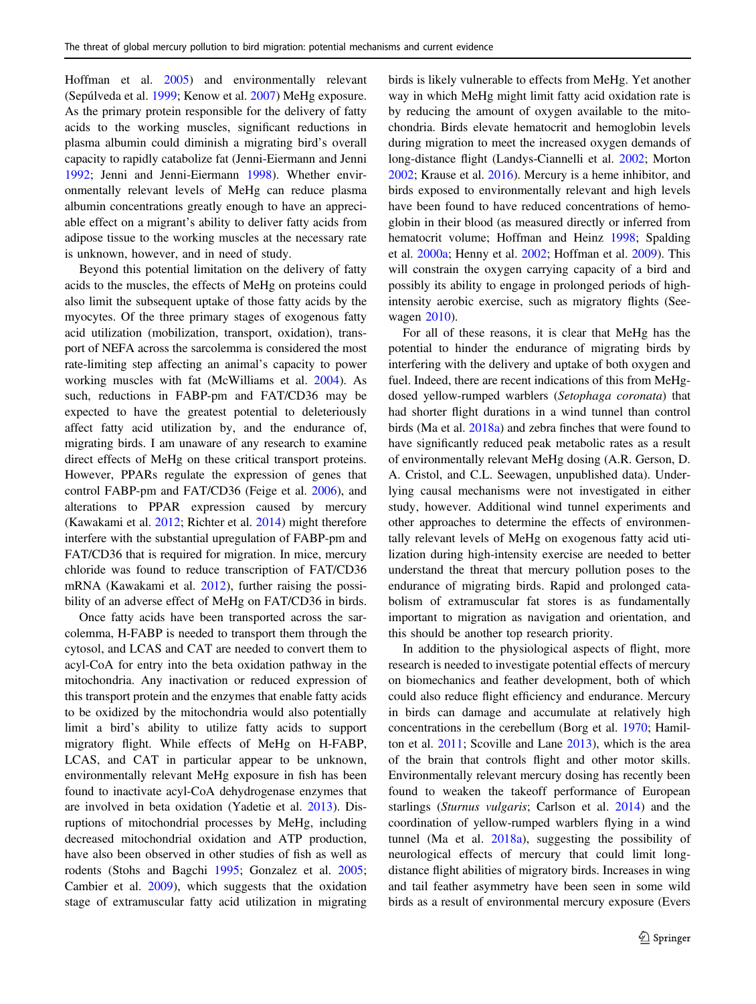Hoffman et al. [2005](#page-10-0)) and environmentally relevant (Sepúlveda et al. [1999;](#page-12-0) Kenow et al. [2007](#page-10-0)) MeHg exposure. As the primary protein responsible for the delivery of fatty acids to the working muscles, significant reductions in plasma albumin could diminish a migrating bird's overall capacity to rapidly catabolize fat (Jenni-Eiermann and Jenni [1992;](#page-10-0) Jenni and Jenni-Eiermann [1998](#page-10-0)). Whether environmentally relevant levels of MeHg can reduce plasma albumin concentrations greatly enough to have an appreciable effect on a migrant's ability to deliver fatty acids from adipose tissue to the working muscles at the necessary rate is unknown, however, and in need of study.

Beyond this potential limitation on the delivery of fatty acids to the muscles, the effects of MeHg on proteins could also limit the subsequent uptake of those fatty acids by the myocytes. Of the three primary stages of exogenous fatty acid utilization (mobilization, transport, oxidation), transport of NEFA across the sarcolemma is considered the most rate-limiting step affecting an animal's capacity to power working muscles with fat (McWilliams et al. [2004](#page-11-0)). As such, reductions in FABP-pm and FAT/CD36 may be expected to have the greatest potential to deleteriously affect fatty acid utilization by, and the endurance of, migrating birds. I am unaware of any research to examine direct effects of MeHg on these critical transport proteins. However, PPARs regulate the expression of genes that control FABP-pm and FAT/CD36 (Feige et al. [2006\)](#page-10-0), and alterations to PPAR expression caused by mercury (Kawakami et al. [2012](#page-10-0); Richter et al. [2014\)](#page-11-0) might therefore interfere with the substantial upregulation of FABP-pm and FAT/CD36 that is required for migration. In mice, mercury chloride was found to reduce transcription of FAT/CD36 mRNA (Kawakami et al. [2012](#page-10-0)), further raising the possibility of an adverse effect of MeHg on FAT/CD36 in birds.

Once fatty acids have been transported across the sarcolemma, H-FABP is needed to transport them through the cytosol, and LCAS and CAT are needed to convert them to acyl-CoA for entry into the beta oxidation pathway in the mitochondria. Any inactivation or reduced expression of this transport protein and the enzymes that enable fatty acids to be oxidized by the mitochondria would also potentially limit a bird's ability to utilize fatty acids to support migratory flight. While effects of MeHg on H-FABP, LCAS, and CAT in particular appear to be unknown, environmentally relevant MeHg exposure in fish has been found to inactivate acyl-CoA dehydrogenase enzymes that are involved in beta oxidation (Yadetie et al. [2013](#page-12-0)). Disruptions of mitochondrial processes by MeHg, including decreased mitochondrial oxidation and ATP production, have also been observed in other studies of fish as well as rodents (Stohs and Bagchi [1995;](#page-12-0) Gonzalez et al. [2005](#page-10-0); Cambier et al. [2009\)](#page-9-0), which suggests that the oxidation stage of extramuscular fatty acid utilization in migrating birds is likely vulnerable to effects from MeHg. Yet another way in which MeHg might limit fatty acid oxidation rate is by reducing the amount of oxygen available to the mitochondria. Birds elevate hematocrit and hemoglobin levels during migration to meet the increased oxygen demands of long-distance flight (Landys-Ciannelli et al. [2002;](#page-11-0) Morton [2002](#page-11-0); Krause et al. [2016\)](#page-11-0). Mercury is a heme inhibitor, and birds exposed to environmentally relevant and high levels have been found to have reduced concentrations of hemoglobin in their blood (as measured directly or inferred from hematocrit volume; Hoffman and Heinz [1998;](#page-10-0) Spalding et al. [2000a](#page-12-0); Henny et al. [2002;](#page-10-0) Hoffman et al. [2009\)](#page-10-0). This will constrain the oxygen carrying capacity of a bird and possibly its ability to engage in prolonged periods of highintensity aerobic exercise, such as migratory flights (Seewagen [2010](#page-12-0)).

For all of these reasons, it is clear that MeHg has the potential to hinder the endurance of migrating birds by interfering with the delivery and uptake of both oxygen and fuel. Indeed, there are recent indications of this from MeHgdosed yellow-rumped warblers (Setophaga coronata) that had shorter flight durations in a wind tunnel than control birds (Ma et al. [2018a\)](#page-11-0) and zebra finches that were found to have significantly reduced peak metabolic rates as a result of environmentally relevant MeHg dosing (A.R. Gerson, D. A. Cristol, and C.L. Seewagen, unpublished data). Underlying causal mechanisms were not investigated in either study, however. Additional wind tunnel experiments and other approaches to determine the effects of environmentally relevant levels of MeHg on exogenous fatty acid utilization during high-intensity exercise are needed to better understand the threat that mercury pollution poses to the endurance of migrating birds. Rapid and prolonged catabolism of extramuscular fat stores is as fundamentally important to migration as navigation and orientation, and this should be another top research priority.

In addition to the physiological aspects of flight, more research is needed to investigate potential effects of mercury on biomechanics and feather development, both of which could also reduce flight efficiency and endurance. Mercury in birds can damage and accumulate at relatively high concentrations in the cerebellum (Borg et al. [1970](#page-9-0); Hamilton et al. [2011;](#page-10-0) Scoville and Lane [2013\)](#page-12-0), which is the area of the brain that controls flight and other motor skills. Environmentally relevant mercury dosing has recently been found to weaken the takeoff performance of European starlings (Sturnus vulgaris; Carlson et al. [2014\)](#page-9-0) and the coordination of yellow-rumped warblers flying in a wind tunnel (Ma et al. [2018a](#page-11-0)), suggesting the possibility of neurological effects of mercury that could limit longdistance flight abilities of migratory birds. Increases in wing and tail feather asymmetry have been seen in some wild birds as a result of environmental mercury exposure (Evers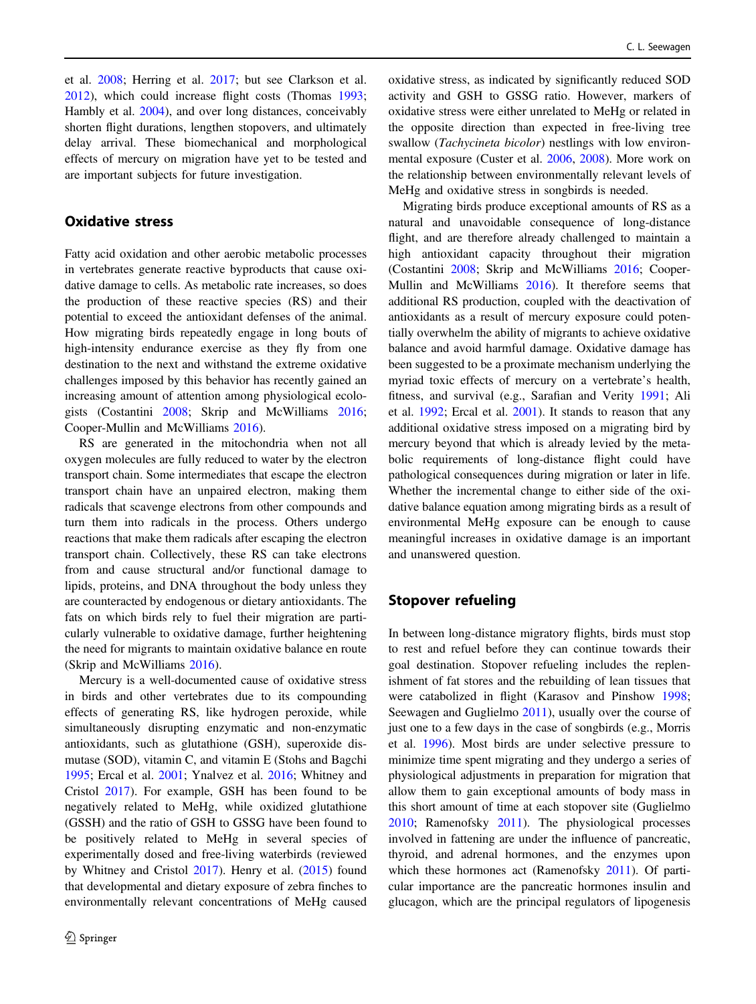et al. [2008;](#page-10-0) Herring et al. [2017](#page-10-0); but see Clarkson et al. [2012\)](#page-9-0), which could increase flight costs (Thomas [1993](#page-12-0); Hambly et al. [2004\)](#page-10-0), and over long distances, conceivably shorten flight durations, lengthen stopovers, and ultimately delay arrival. These biomechanical and morphological effects of mercury on migration have yet to be tested and are important subjects for future investigation.

# Oxidative stress

Fatty acid oxidation and other aerobic metabolic processes in vertebrates generate reactive byproducts that cause oxidative damage to cells. As metabolic rate increases, so does the production of these reactive species (RS) and their potential to exceed the antioxidant defenses of the animal. How migrating birds repeatedly engage in long bouts of high-intensity endurance exercise as they fly from one destination to the next and withstand the extreme oxidative challenges imposed by this behavior has recently gained an increasing amount of attention among physiological ecologists (Costantini [2008](#page-9-0); Skrip and McWilliams [2016](#page-12-0); Cooper-Mullin and McWilliams [2016\)](#page-9-0).

RS are generated in the mitochondria when not all oxygen molecules are fully reduced to water by the electron transport chain. Some intermediates that escape the electron transport chain have an unpaired electron, making them radicals that scavenge electrons from other compounds and turn them into radicals in the process. Others undergo reactions that make them radicals after escaping the electron transport chain. Collectively, these RS can take electrons from and cause structural and/or functional damage to lipids, proteins, and DNA throughout the body unless they are counteracted by endogenous or dietary antioxidants. The fats on which birds rely to fuel their migration are particularly vulnerable to oxidative damage, further heightening the need for migrants to maintain oxidative balance en route (Skrip and McWilliams [2016](#page-12-0)).

Mercury is a well-documented cause of oxidative stress in birds and other vertebrates due to its compounding effects of generating RS, like hydrogen peroxide, while simultaneously disrupting enzymatic and non-enzymatic antioxidants, such as glutathione (GSH), superoxide dismutase (SOD), vitamin C, and vitamin E (Stohs and Bagchi [1995;](#page-12-0) Ercal et al. [2001;](#page-10-0) Ynalvez et al. [2016](#page-12-0); Whitney and Cristol [2017\)](#page-12-0). For example, GSH has been found to be negatively related to MeHg, while oxidized glutathione (GSSH) and the ratio of GSH to GSSG have been found to be positively related to MeHg in several species of experimentally dosed and free-living waterbirds (reviewed by Whitney and Cristol [2017](#page-12-0)). Henry et al. ([2015\)](#page-10-0) found that developmental and dietary exposure of zebra finches to environmentally relevant concentrations of MeHg caused oxidative stress, as indicated by significantly reduced SOD activity and GSH to GSSG ratio. However, markers of oxidative stress were either unrelated to MeHg or related in the opposite direction than expected in free-living tree swallow (Tachycineta bicolor) nestlings with low environmental exposure (Custer et al. [2006,](#page-9-0) [2008\)](#page-9-0). More work on the relationship between environmentally relevant levels of MeHg and oxidative stress in songbirds is needed.

Migrating birds produce exceptional amounts of RS as a natural and unavoidable consequence of long-distance flight, and are therefore already challenged to maintain a high antioxidant capacity throughout their migration (Costantini [2008](#page-9-0); Skrip and McWilliams [2016;](#page-12-0) Cooper-Mullin and McWilliams [2016](#page-9-0)). It therefore seems that additional RS production, coupled with the deactivation of antioxidants as a result of mercury exposure could potentially overwhelm the ability of migrants to achieve oxidative balance and avoid harmful damage. Oxidative damage has been suggested to be a proximate mechanism underlying the myriad toxic effects of mercury on a vertebrate's health, fitness, and survival (e.g., Sarafian and Verity [1991](#page-11-0); Ali et al. [1992;](#page-9-0) Ercal et al. [2001](#page-10-0)). It stands to reason that any additional oxidative stress imposed on a migrating bird by mercury beyond that which is already levied by the metabolic requirements of long-distance flight could have pathological consequences during migration or later in life. Whether the incremental change to either side of the oxidative balance equation among migrating birds as a result of environmental MeHg exposure can be enough to cause meaningful increases in oxidative damage is an important and unanswered question.

#### Stopover refueling

In between long-distance migratory flights, birds must stop to rest and refuel before they can continue towards their goal destination. Stopover refueling includes the replenishment of fat stores and the rebuilding of lean tissues that were catabolized in flight (Karasov and Pinshow [1998;](#page-10-0) Seewagen and Guglielmo [2011\)](#page-12-0), usually over the course of just one to a few days in the case of songbirds (e.g., Morris et al. [1996](#page-11-0)). Most birds are under selective pressure to minimize time spent migrating and they undergo a series of physiological adjustments in preparation for migration that allow them to gain exceptional amounts of body mass in this short amount of time at each stopover site (Guglielmo [2010](#page-10-0); Ramenofsky [2011](#page-11-0)). The physiological processes involved in fattening are under the influence of pancreatic, thyroid, and adrenal hormones, and the enzymes upon which these hormones act (Ramenofsky [2011\)](#page-11-0). Of particular importance are the pancreatic hormones insulin and glucagon, which are the principal regulators of lipogenesis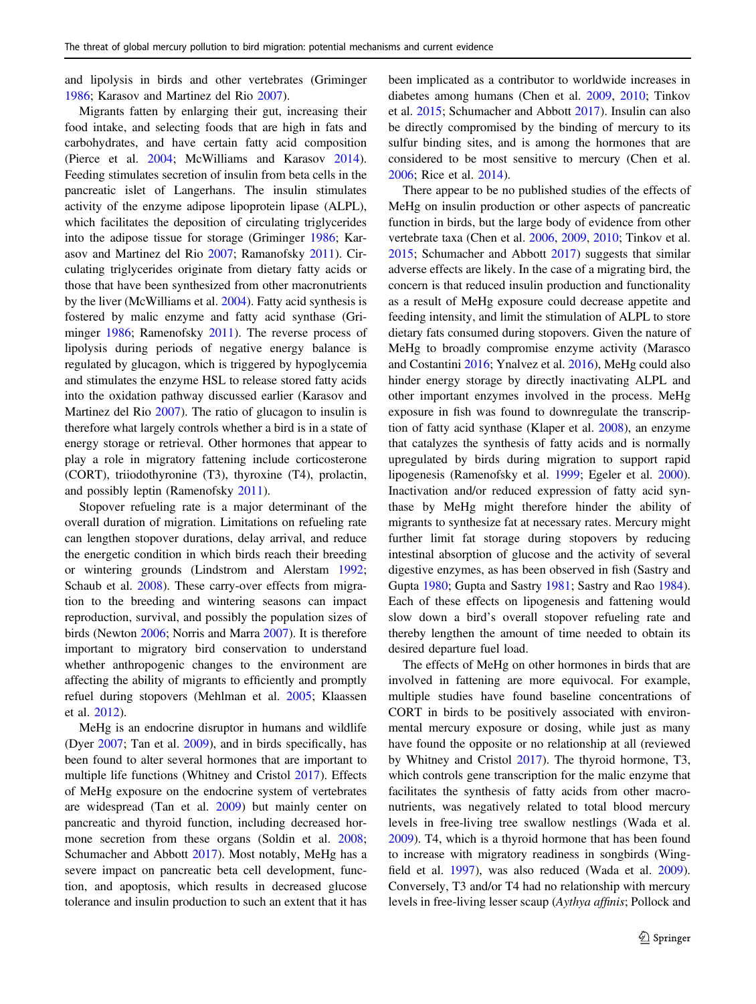and lipolysis in birds and other vertebrates (Griminger [1986;](#page-10-0) Karasov and Martinez del Rio [2007\)](#page-10-0).

Migrants fatten by enlarging their gut, increasing their food intake, and selecting foods that are high in fats and carbohydrates, and have certain fatty acid composition (Pierce et al. [2004](#page-11-0); McWilliams and Karasov [2014](#page-11-0)). Feeding stimulates secretion of insulin from beta cells in the pancreatic islet of Langerhans. The insulin stimulates activity of the enzyme adipose lipoprotein lipase (ALPL), which facilitates the deposition of circulating triglycerides into the adipose tissue for storage (Griminger [1986](#page-10-0); Karasov and Martinez del Rio [2007;](#page-10-0) Ramanofsky [2011\)](#page-11-0). Circulating triglycerides originate from dietary fatty acids or those that have been synthesized from other macronutrients by the liver (McWilliams et al. [2004](#page-11-0)). Fatty acid synthesis is fostered by malic enzyme and fatty acid synthase (Griminger [1986](#page-10-0); Ramenofsky [2011\)](#page-11-0). The reverse process of lipolysis during periods of negative energy balance is regulated by glucagon, which is triggered by hypoglycemia and stimulates the enzyme HSL to release stored fatty acids into the oxidation pathway discussed earlier (Karasov and Martinez del Rio [2007](#page-10-0)). The ratio of glucagon to insulin is therefore what largely controls whether a bird is in a state of energy storage or retrieval. Other hormones that appear to play a role in migratory fattening include corticosterone (CORT), triiodothyronine (T3), thyroxine (T4), prolactin, and possibly leptin (Ramenofsky [2011](#page-11-0)).

Stopover refueling rate is a major determinant of the overall duration of migration. Limitations on refueling rate can lengthen stopover durations, delay arrival, and reduce the energetic condition in which birds reach their breeding or wintering grounds (Lindstrom and Alerstam [1992](#page-11-0); Schaub et al. [2008](#page-12-0)). These carry-over effects from migration to the breeding and wintering seasons can impact reproduction, survival, and possibly the population sizes of birds (Newton [2006;](#page-11-0) Norris and Marra [2007\)](#page-11-0). It is therefore important to migratory bird conservation to understand whether anthropogenic changes to the environment are affecting the ability of migrants to efficiently and promptly refuel during stopovers (Mehlman et al. [2005;](#page-11-0) Klaassen et al. [2012](#page-10-0)).

MeHg is an endocrine disruptor in humans and wildlife (Dyer [2007](#page-10-0); Tan et al. [2009\)](#page-12-0), and in birds specifically, has been found to alter several hormones that are important to multiple life functions (Whitney and Cristol [2017](#page-12-0)). Effects of MeHg exposure on the endocrine system of vertebrates are widespread (Tan et al. [2009](#page-12-0)) but mainly center on pancreatic and thyroid function, including decreased hor-mone secretion from these organs (Soldin et al. [2008](#page-12-0); Schumacher and Abbott [2017\)](#page-12-0). Most notably, MeHg has a severe impact on pancreatic beta cell development, function, and apoptosis, which results in decreased glucose tolerance and insulin production to such an extent that it has been implicated as a contributor to worldwide increases in diabetes among humans (Chen et al. [2009](#page-9-0), [2010;](#page-9-0) Tinkov et al. [2015](#page-12-0); Schumacher and Abbott [2017](#page-12-0)). Insulin can also be directly compromised by the binding of mercury to its sulfur binding sites, and is among the hormones that are considered to be most sensitive to mercury (Chen et al. [2006](#page-9-0); Rice et al. [2014\)](#page-11-0).

There appear to be no published studies of the effects of MeHg on insulin production or other aspects of pancreatic function in birds, but the large body of evidence from other vertebrate taxa (Chen et al. [2006,](#page-9-0) [2009](#page-9-0), [2010;](#page-9-0) Tinkov et al. [2015](#page-12-0); Schumacher and Abbott [2017](#page-12-0)) suggests that similar adverse effects are likely. In the case of a migrating bird, the concern is that reduced insulin production and functionality as a result of MeHg exposure could decrease appetite and feeding intensity, and limit the stimulation of ALPL to store dietary fats consumed during stopovers. Given the nature of MeHg to broadly compromise enzyme activity (Marasco and Costantini [2016;](#page-11-0) Ynalvez et al. [2016\)](#page-12-0), MeHg could also hinder energy storage by directly inactivating ALPL and other important enzymes involved in the process. MeHg exposure in fish was found to downregulate the transcription of fatty acid synthase (Klaper et al. [2008\)](#page-10-0), an enzyme that catalyzes the synthesis of fatty acids and is normally upregulated by birds during migration to support rapid lipogenesis (Ramenofsky et al. [1999](#page-11-0); Egeler et al. [2000\)](#page-10-0). Inactivation and/or reduced expression of fatty acid synthase by MeHg might therefore hinder the ability of migrants to synthesize fat at necessary rates. Mercury might further limit fat storage during stopovers by reducing intestinal absorption of glucose and the activity of several digestive enzymes, as has been observed in fish (Sastry and Gupta [1980](#page-11-0); Gupta and Sastry [1981;](#page-10-0) Sastry and Rao [1984\)](#page-12-0). Each of these effects on lipogenesis and fattening would slow down a bird's overall stopover refueling rate and thereby lengthen the amount of time needed to obtain its desired departure fuel load.

The effects of MeHg on other hormones in birds that are involved in fattening are more equivocal. For example, multiple studies have found baseline concentrations of CORT in birds to be positively associated with environmental mercury exposure or dosing, while just as many have found the opposite or no relationship at all (reviewed by Whitney and Cristol [2017](#page-12-0)). The thyroid hormone, T3, which controls gene transcription for the malic enzyme that facilitates the synthesis of fatty acids from other macronutrients, was negatively related to total blood mercury levels in free-living tree swallow nestlings (Wada et al. [2009](#page-12-0)). T4, which is a thyroid hormone that has been found to increase with migratory readiness in songbirds (Wingfield et al. [1997](#page-12-0)), was also reduced (Wada et al. [2009\)](#page-12-0). Conversely, T3 and/or T4 had no relationship with mercury levels in free-living lesser scaup (Aythya affinis; Pollock and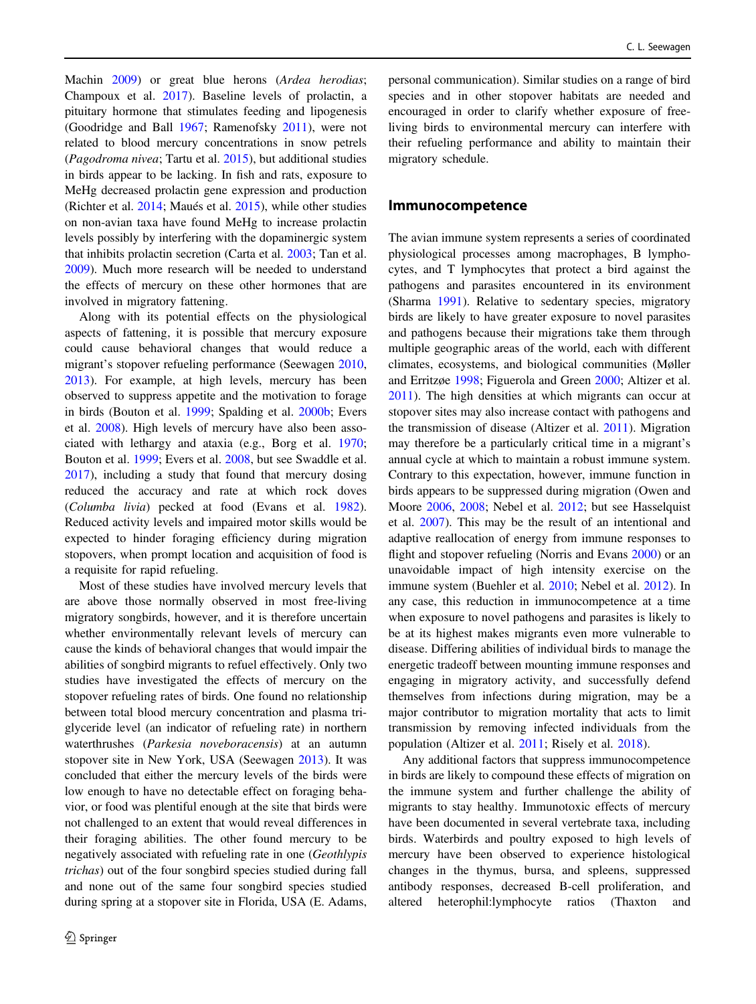Machin [2009](#page-11-0)) or great blue herons (Ardea herodias; Champoux et al. [2017](#page-9-0)). Baseline levels of prolactin, a pituitary hormone that stimulates feeding and lipogenesis (Goodridge and Ball [1967;](#page-10-0) Ramenofsky [2011\)](#page-11-0), were not related to blood mercury concentrations in snow petrels (Pagodroma nivea; Tartu et al. [2015](#page-12-0)), but additional studies in birds appear to be lacking. In fish and rats, exposure to MeHg decreased prolactin gene expression and production (Richter et al. [2014](#page-11-0); Maués et al. [2015](#page-11-0)), while other studies on non-avian taxa have found MeHg to increase prolactin levels possibly by interfering with the dopaminergic system that inhibits prolactin secretion (Carta et al. [2003](#page-9-0); Tan et al. [2009\)](#page-12-0). Much more research will be needed to understand the effects of mercury on these other hormones that are involved in migratory fattening.

Along with its potential effects on the physiological aspects of fattening, it is possible that mercury exposure could cause behavioral changes that would reduce a migrant's stopover refueling performance (Seewagen [2010,](#page-12-0) [2013\)](#page-12-0). For example, at high levels, mercury has been observed to suppress appetite and the motivation to forage in birds (Bouton et al. [1999;](#page-9-0) Spalding et al. [2000b](#page-12-0); Evers et al. [2008](#page-10-0)). High levels of mercury have also been associated with lethargy and ataxia (e.g., Borg et al. [1970](#page-9-0); Bouton et al. [1999;](#page-9-0) Evers et al. [2008](#page-10-0), but see Swaddle et al. [2017\)](#page-12-0), including a study that found that mercury dosing reduced the accuracy and rate at which rock doves (Columba livia) pecked at food (Evans et al. [1982](#page-10-0)). Reduced activity levels and impaired motor skills would be expected to hinder foraging efficiency during migration stopovers, when prompt location and acquisition of food is a requisite for rapid refueling.

Most of these studies have involved mercury levels that are above those normally observed in most free-living migratory songbirds, however, and it is therefore uncertain whether environmentally relevant levels of mercury can cause the kinds of behavioral changes that would impair the abilities of songbird migrants to refuel effectively. Only two studies have investigated the effects of mercury on the stopover refueling rates of birds. One found no relationship between total blood mercury concentration and plasma triglyceride level (an indicator of refueling rate) in northern waterthrushes (Parkesia noveboracensis) at an autumn stopover site in New York, USA (Seewagen [2013](#page-12-0)). It was concluded that either the mercury levels of the birds were low enough to have no detectable effect on foraging behavior, or food was plentiful enough at the site that birds were not challenged to an extent that would reveal differences in their foraging abilities. The other found mercury to be negatively associated with refueling rate in one (Geothlypis trichas) out of the four songbird species studied during fall and none out of the same four songbird species studied during spring at a stopover site in Florida, USA (E. Adams,

personal communication). Similar studies on a range of bird species and in other stopover habitats are needed and encouraged in order to clarify whether exposure of freeliving birds to environmental mercury can interfere with their refueling performance and ability to maintain their migratory schedule.

#### Immunocompetence

The avian immune system represents a series of coordinated physiological processes among macrophages, B lymphocytes, and T lymphocytes that protect a bird against the pathogens and parasites encountered in its environment (Sharma [1991\)](#page-12-0). Relative to sedentary species, migratory birds are likely to have greater exposure to novel parasites and pathogens because their migrations take them through multiple geographic areas of the world, each with different climates, ecosystems, and biological communities (Møller and Erritzøe [1998;](#page-11-0) Figuerola and Green [2000;](#page-10-0) Altizer et al. [2011](#page-9-0)). The high densities at which migrants can occur at stopover sites may also increase contact with pathogens and the transmission of disease (Altizer et al. [2011\)](#page-9-0). Migration may therefore be a particularly critical time in a migrant's annual cycle at which to maintain a robust immune system. Contrary to this expectation, however, immune function in birds appears to be suppressed during migration (Owen and Moore [2006](#page-11-0), [2008](#page-11-0); Nebel et al. [2012;](#page-11-0) but see Hasselquist et al. [2007\)](#page-10-0). This may be the result of an intentional and adaptive reallocation of energy from immune responses to flight and stopover refueling (Norris and Evans [2000\)](#page-11-0) or an unavoidable impact of high intensity exercise on the immune system (Buehler et al. [2010](#page-9-0); Nebel et al. [2012](#page-11-0)). In any case, this reduction in immunocompetence at a time when exposure to novel pathogens and parasites is likely to be at its highest makes migrants even more vulnerable to disease. Differing abilities of individual birds to manage the energetic tradeoff between mounting immune responses and engaging in migratory activity, and successfully defend themselves from infections during migration, may be a major contributor to migration mortality that acts to limit transmission by removing infected individuals from the population (Altizer et al. [2011;](#page-9-0) Risely et al. [2018\)](#page-11-0).

Any additional factors that suppress immunocompetence in birds are likely to compound these effects of migration on the immune system and further challenge the ability of migrants to stay healthy. Immunotoxic effects of mercury have been documented in several vertebrate taxa, including birds. Waterbirds and poultry exposed to high levels of mercury have been observed to experience histological changes in the thymus, bursa, and spleens, suppressed antibody responses, decreased B-cell proliferation, and altered heterophil:lymphocyte ratios (Thaxton and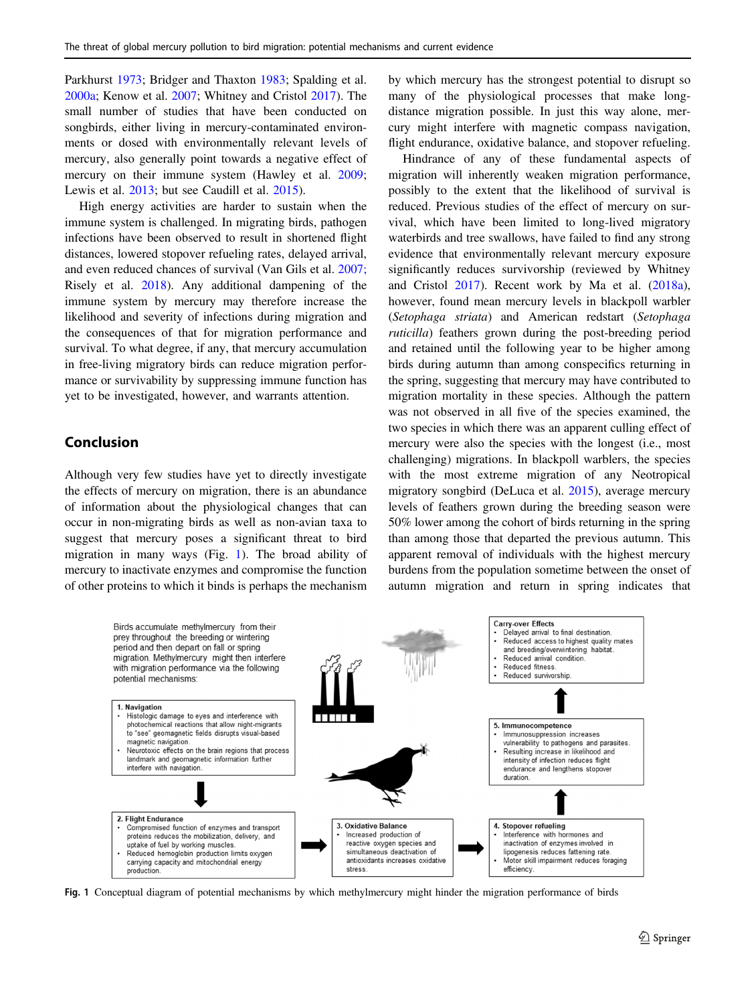Parkhurst [1973](#page-12-0); Bridger and Thaxton [1983](#page-9-0); Spalding et al. [2000a](#page-12-0); Kenow et al. [2007](#page-10-0); Whitney and Cristol [2017](#page-12-0)). The small number of studies that have been conducted on songbirds, either living in mercury-contaminated environments or dosed with environmentally relevant levels of mercury, also generally point towards a negative effect of mercury on their immune system (Hawley et al. [2009](#page-10-0); Lewis et al. [2013;](#page-11-0) but see Caudill et al. [2015](#page-9-0)).

High energy activities are harder to sustain when the immune system is challenged. In migrating birds, pathogen infections have been observed to result in shortened flight distances, lowered stopover refueling rates, delayed arrival, and even reduced chances of survival (Van Gils et al. [2007;](#page-12-0) Risely et al. [2018](#page-11-0)). Any additional dampening of the immune system by mercury may therefore increase the likelihood and severity of infections during migration and the consequences of that for migration performance and survival. To what degree, if any, that mercury accumulation in free-living migratory birds can reduce migration performance or survivability by suppressing immune function has yet to be investigated, however, and warrants attention.

# Conclusion

Although very few studies have yet to directly investigate the effects of mercury on migration, there is an abundance of information about the physiological changes that can occur in non-migrating birds as well as non-avian taxa to suggest that mercury poses a significant threat to bird migration in many ways (Fig. 1). The broad ability of mercury to inactivate enzymes and compromise the function of other proteins to which it binds is perhaps the mechanism

by which mercury has the strongest potential to disrupt so many of the physiological processes that make longdistance migration possible. In just this way alone, mercury might interfere with magnetic compass navigation, flight endurance, oxidative balance, and stopover refueling.

Hindrance of any of these fundamental aspects of migration will inherently weaken migration performance, possibly to the extent that the likelihood of survival is reduced. Previous studies of the effect of mercury on survival, which have been limited to long-lived migratory waterbirds and tree swallows, have failed to find any strong evidence that environmentally relevant mercury exposure significantly reduces survivorship (reviewed by Whitney and Cristol [2017](#page-12-0)). Recent work by Ma et al. [\(2018a\)](#page-11-0), however, found mean mercury levels in blackpoll warbler (Setophaga striata) and American redstart (Setophaga ruticilla) feathers grown during the post-breeding period and retained until the following year to be higher among birds during autumn than among conspecifics returning in the spring, suggesting that mercury may have contributed to migration mortality in these species. Although the pattern was not observed in all five of the species examined, the two species in which there was an apparent culling effect of mercury were also the species with the longest (i.e., most challenging) migrations. In blackpoll warblers, the species with the most extreme migration of any Neotropical migratory songbird (DeLuca et al. [2015](#page-9-0)), average mercury levels of feathers grown during the breeding season were 50% lower among the cohort of birds returning in the spring than among those that departed the previous autumn. This apparent removal of individuals with the highest mercury burdens from the population sometime between the onset of autumn migration and return in spring indicates that



Fig. 1 Conceptual diagram of potential mechanisms by which methylmercury might hinder the migration performance of birds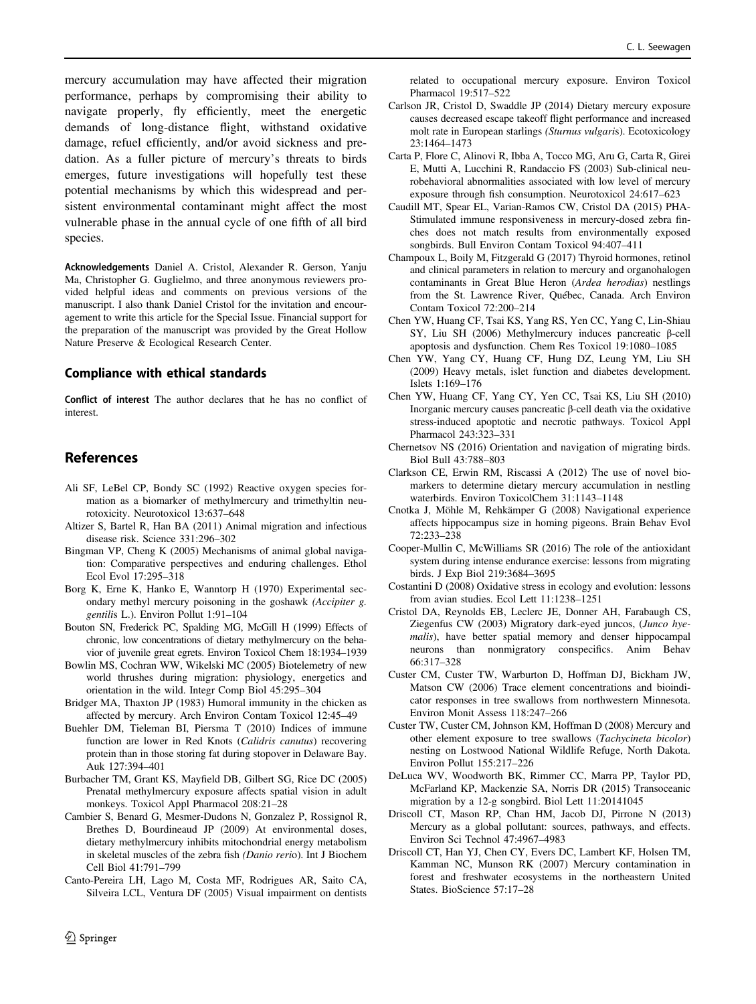<span id="page-9-0"></span>mercury accumulation may have affected their migration performance, perhaps by compromising their ability to navigate properly, fly efficiently, meet the energetic demands of long-distance flight, withstand oxidative damage, refuel efficiently, and/or avoid sickness and predation. As a fuller picture of mercury's threats to birds emerges, future investigations will hopefully test these potential mechanisms by which this widespread and persistent environmental contaminant might affect the most vulnerable phase in the annual cycle of one fifth of all bird species.

Acknowledgements Daniel A. Cristol, Alexander R. Gerson, Yanju Ma, Christopher G. Guglielmo, and three anonymous reviewers provided helpful ideas and comments on previous versions of the manuscript. I also thank Daniel Cristol for the invitation and encouragement to write this article for the Special Issue. Financial support for the preparation of the manuscript was provided by the Great Hollow Nature Preserve & Ecological Research Center.

#### Compliance with ethical standards

Conflict of interest The author declares that he has no conflict of interest.

## References

- Ali SF, LeBel CP, Bondy SC (1992) Reactive oxygen species formation as a biomarker of methylmercury and trimethyltin neurotoxicity. Neurotoxicol 13:637–648
- Altizer S, Bartel R, Han BA (2011) Animal migration and infectious disease risk. Science 331:296–302
- Bingman VP, Cheng K (2005) Mechanisms of animal global navigation: Comparative perspectives and enduring challenges. Ethol Ecol Evol 17:295–318
- Borg K, Erne K, Hanko E, Wanntorp H (1970) Experimental secondary methyl mercury poisoning in the goshawk (Accipiter g. gentilis L.). Environ Pollut 1:91–104
- Bouton SN, Frederick PC, Spalding MG, McGill H (1999) Effects of chronic, low concentrations of dietary methylmercury on the behavior of juvenile great egrets. Environ Toxicol Chem 18:1934–1939
- Bowlin MS, Cochran WW, Wikelski MC (2005) Biotelemetry of new world thrushes during migration: physiology, energetics and orientation in the wild. Integr Comp Biol 45:295–304
- Bridger MA, Thaxton JP (1983) Humoral immunity in the chicken as affected by mercury. Arch Environ Contam Toxicol 12:45–49
- Buehler DM, Tieleman BI, Piersma T (2010) Indices of immune function are lower in Red Knots (Calidris canutus) recovering protein than in those storing fat during stopover in Delaware Bay. Auk 127:394–401
- Burbacher TM, Grant KS, Mayfield DB, Gilbert SG, Rice DC (2005) Prenatal methylmercury exposure affects spatial vision in adult monkeys. Toxicol Appl Pharmacol 208:21–28
- Cambier S, Benard G, Mesmer-Dudons N, Gonzalez P, Rossignol R, Brethes D, Bourdineaud JP (2009) At environmental doses, dietary methylmercury inhibits mitochondrial energy metabolism in skeletal muscles of the zebra fish (Danio rerio). Int J Biochem Cell Biol 41:791–799
- Canto-Pereira LH, Lago M, Costa MF, Rodrigues AR, Saito CA, Silveira LCL, Ventura DF (2005) Visual impairment on dentists

related to occupational mercury exposure. Environ Toxicol Pharmacol 19:517–522

- Carlson JR, Cristol D, Swaddle JP (2014) Dietary mercury exposure causes decreased escape takeoff flight performance and increased molt rate in European starlings (Sturnus vulgaris). Ecotoxicology 23:1464–1473
- Carta P, Flore C, Alinovi R, Ibba A, Tocco MG, Aru G, Carta R, Girei E, Mutti A, Lucchini R, Randaccio FS (2003) Sub-clinical neurobehavioral abnormalities associated with low level of mercury exposure through fish consumption. Neurotoxicol 24:617–623
- Caudill MT, Spear EL, Varian-Ramos CW, Cristol DA (2015) PHA-Stimulated immune responsiveness in mercury-dosed zebra finches does not match results from environmentally exposed songbirds. Bull Environ Contam Toxicol 94:407–411
- Champoux L, Boily M, Fitzgerald G (2017) Thyroid hormones, retinol and clinical parameters in relation to mercury and organohalogen contaminants in Great Blue Heron (Ardea herodias) nestlings from the St. Lawrence River, Québec, Canada. Arch Environ Contam Toxicol 72:200–214
- Chen YW, Huang CF, Tsai KS, Yang RS, Yen CC, Yang C, Lin-Shiau SY, Liu SH (2006) Methylmercury induces pancreatic β-cell apoptosis and dysfunction. Chem Res Toxicol 19:1080–1085
- Chen YW, Yang CY, Huang CF, Hung DZ, Leung YM, Liu SH (2009) Heavy metals, islet function and diabetes development. Islets 1:169–176
- Chen YW, Huang CF, Yang CY, Yen CC, Tsai KS, Liu SH (2010) Inorganic mercury causes pancreatic β-cell death via the oxidative stress-induced apoptotic and necrotic pathways. Toxicol Appl Pharmacol 243:323–331
- Chernetsov NS (2016) Orientation and navigation of migrating birds. Biol Bull 43:788–803
- Clarkson CE, Erwin RM, Riscassi A (2012) The use of novel biomarkers to determine dietary mercury accumulation in nestling waterbirds. Environ ToxicolChem 31:1143–1148
- Cnotka J, Möhle M, Rehkämper G (2008) Navigational experience affects hippocampus size in homing pigeons. Brain Behav Evol 72:233–238
- Cooper-Mullin C, McWilliams SR (2016) The role of the antioxidant system during intense endurance exercise: lessons from migrating birds. J Exp Biol 219:3684–3695
- Costantini D (2008) Oxidative stress in ecology and evolution: lessons from avian studies. Ecol Lett 11:1238–1251
- Cristol DA, Reynolds EB, Leclerc JE, Donner AH, Farabaugh CS, Ziegenfus CW (2003) Migratory dark-eyed juncos, (Junco hyemalis), have better spatial memory and denser hippocampal neurons than nonmigratory conspecifics. Anim Behav 66:317–328
- Custer CM, Custer TW, Warburton D, Hoffman DJ, Bickham JW, Matson CW (2006) Trace element concentrations and bioindicator responses in tree swallows from northwestern Minnesota. Environ Monit Assess 118:247–266
- Custer TW, Custer CM, Johnson KM, Hoffman D (2008) Mercury and other element exposure to tree swallows (Tachycineta bicolor) nesting on Lostwood National Wildlife Refuge, North Dakota. Environ Pollut 155:217–226
- DeLuca WV, Woodworth BK, Rimmer CC, Marra PP, Taylor PD, McFarland KP, Mackenzie SA, Norris DR (2015) Transoceanic migration by a 12-g songbird. Biol Lett 11:20141045
- Driscoll CT, Mason RP, Chan HM, Jacob DJ, Pirrone N (2013) Mercury as a global pollutant: sources, pathways, and effects. Environ Sci Technol 47:4967–4983
- Driscoll CT, Han YJ, Chen CY, Evers DC, Lambert KF, Holsen TM, Kamman NC, Munson RK (2007) Mercury contamination in forest and freshwater ecosystems in the northeastern United States. BioScience 57:17–28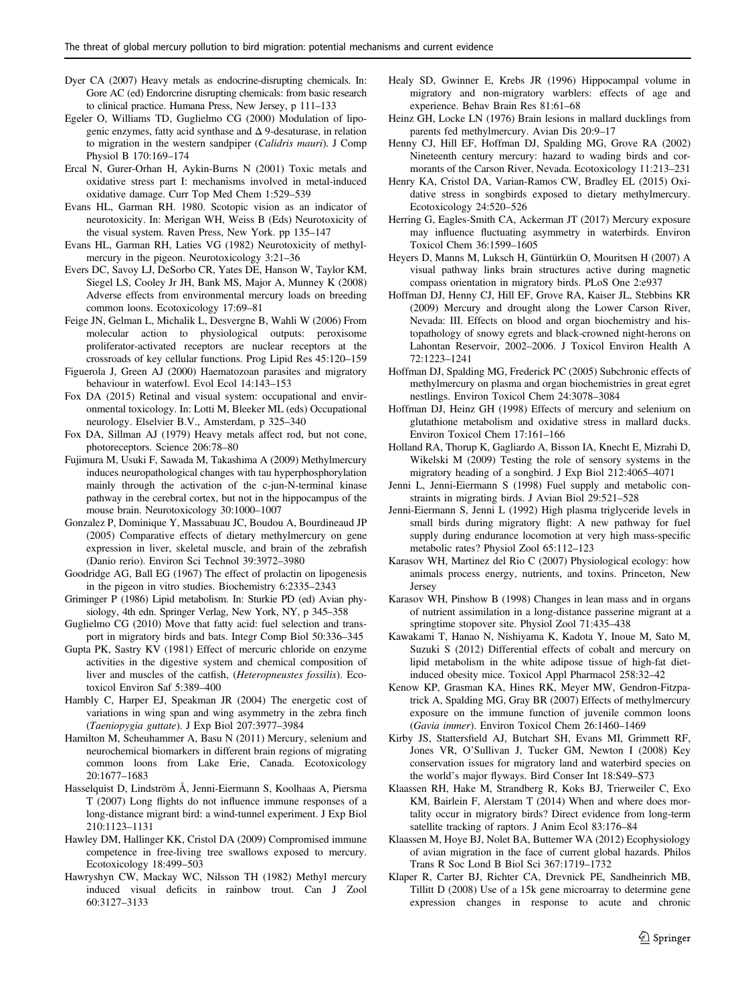- <span id="page-10-0"></span>Dyer CA (2007) Heavy metals as endocrine-disrupting chemicals. In: Gore AC (ed) Endorcrine disrupting chemicals: from basic research to clinical practice. Humana Press, New Jersey, p 111–133
- Egeler O, Williams TD, Guglielmo CG (2000) Modulation of lipogenic enzymes, fatty acid synthase and Δ 9-desaturase, in relation to migration in the western sandpiper (Calidris mauri). J Comp Physiol B 170:169–174
- Ercal N, Gurer-Orhan H, Aykin-Burns N (2001) Toxic metals and oxidative stress part I: mechanisms involved in metal-induced oxidative damage. Curr Top Med Chem 1:529–539
- Evans HL, Garman RH. 1980. Scotopic vision as an indicator of neurotoxicity. In: Merigan WH, Weiss B (Eds) Neurotoxicity of the visual system. Raven Press, New York. pp 135–147
- Evans HL, Garman RH, Laties VG (1982) Neurotoxicity of methylmercury in the pigeon. Neurotoxicology 3:21–36
- Evers DC, Savoy LJ, DeSorbo CR, Yates DE, Hanson W, Taylor KM, Siegel LS, Cooley Jr JH, Bank MS, Major A, Munney K (2008) Adverse effects from environmental mercury loads on breeding common loons. Ecotoxicology 17:69–81
- Feige JN, Gelman L, Michalik L, Desvergne B, Wahli W (2006) From molecular action to physiological outputs: peroxisome proliferator-activated receptors are nuclear receptors at the crossroads of key cellular functions. Prog Lipid Res 45:120–159
- Figuerola J, Green AJ (2000) Haematozoan parasites and migratory behaviour in waterfowl. Evol Ecol 14:143–153
- Fox DA (2015) Retinal and visual system: occupational and environmental toxicology. In: Lotti M, Bleeker ML (eds) Occupational neurology. Elselvier B.V., Amsterdam, p 325–340
- Fox DA, Sillman AJ (1979) Heavy metals affect rod, but not cone, photoreceptors. Science 206:78–80
- Fujimura M, Usuki F, Sawada M, Takashima A (2009) Methylmercury induces neuropathological changes with tau hyperphosphorylation mainly through the activation of the c-jun-N-terminal kinase pathway in the cerebral cortex, but not in the hippocampus of the mouse brain. Neurotoxicology 30:1000–1007
- Gonzalez P, Dominique Y, Massabuau JC, Boudou A, Bourdineaud JP (2005) Comparative effects of dietary methylmercury on gene expression in liver, skeletal muscle, and brain of the zebrafish (Danio rerio). Environ Sci Technol 39:3972–3980
- Goodridge AG, Ball EG (1967) The effect of prolactin on lipogenesis in the pigeon in vitro studies. Biochemistry 6:2335–2343
- Griminger P (1986) Lipid metabolism. In: Sturkie PD (ed) Avian physiology, 4th edn. Springer Verlag, New York, NY, p 345–358
- Guglielmo CG (2010) Move that fatty acid: fuel selection and transport in migratory birds and bats. Integr Comp Biol 50:336–345
- Gupta PK, Sastry KV (1981) Effect of mercuric chloride on enzyme activities in the digestive system and chemical composition of liver and muscles of the catfish, (Heteropneustes fossilis). Ecotoxicol Environ Saf 5:389–400
- Hambly C, Harper EJ, Speakman JR (2004) The energetic cost of variations in wing span and wing asymmetry in the zebra finch (Taeniopygia guttate). J Exp Biol 207:3977–3984
- Hamilton M, Scheuhammer A, Basu N (2011) Mercury, selenium and neurochemical biomarkers in different brain regions of migrating common loons from Lake Erie, Canada. Ecotoxicology 20:1677–1683
- Hasselquist D, Lindström Å, Jenni-Eiermann S, Koolhaas A, Piersma T (2007) Long flights do not influence immune responses of a long-distance migrant bird: a wind-tunnel experiment. J Exp Biol 210:1123–1131
- Hawley DM, Hallinger KK, Cristol DA (2009) Compromised immune competence in free-living tree swallows exposed to mercury. Ecotoxicology 18:499–503
- Hawryshyn CW, Mackay WC, Nilsson TH (1982) Methyl mercury induced visual deficits in rainbow trout. Can J Zool 60:3127–3133
- Healy SD, Gwinner E, Krebs JR (1996) Hippocampal volume in migratory and non-migratory warblers: effects of age and experience. Behav Brain Res 81:61–68
- Heinz GH, Locke LN (1976) Brain lesions in mallard ducklings from parents fed methylmercury. Avian Dis 20:9–17
- Henny CJ, Hill EF, Hoffman DJ, Spalding MG, Grove RA (2002) Nineteenth century mercury: hazard to wading birds and cormorants of the Carson River, Nevada. Ecotoxicology 11:213–231
- Henry KA, Cristol DA, Varian-Ramos CW, Bradley EL (2015) Oxidative stress in songbirds exposed to dietary methylmercury. Ecotoxicology 24:520–526
- Herring G, Eagles‐Smith CA, Ackerman JT (2017) Mercury exposure may influence fluctuating asymmetry in waterbirds. Environ Toxicol Chem 36:1599–1605
- Heyers D, Manns M, Luksch H, Güntürkün O, Mouritsen H (2007) A visual pathway links brain structures active during magnetic compass orientation in migratory birds. PLoS One 2:e937
- Hoffman DJ, Henny CJ, Hill EF, Grove RA, Kaiser JL, Stebbins KR (2009) Mercury and drought along the Lower Carson River, Nevada: III. Effects on blood and organ biochemistry and histopathology of snowy egrets and black-crowned night-herons on Lahontan Reservoir, 2002–2006. J Toxicol Environ Health A 72:1223–1241
- Hoffman DJ, Spalding MG, Frederick PC (2005) Subchronic effects of methylmercury on plasma and organ biochemistries in great egret nestlings. Environ Toxicol Chem 24:3078–3084
- Hoffman DJ, Heinz GH (1998) Effects of mercury and selenium on glutathione metabolism and oxidative stress in mallard ducks. Environ Toxicol Chem 17:161–166
- Holland RA, Thorup K, Gagliardo A, Bisson IA, Knecht E, Mizrahi D, Wikelski M (2009) Testing the role of sensory systems in the migratory heading of a songbird. J Exp Biol 212:4065–4071
- Jenni L, Jenni-Eiermann S (1998) Fuel supply and metabolic constraints in migrating birds. J Avian Biol 29:521–528
- Jenni-Eiermann S, Jenni L (1992) High plasma triglyceride levels in small birds during migratory flight: A new pathway for fuel supply during endurance locomotion at very high mass-specific metabolic rates? Physiol Zool 65:112–123
- Karasov WH, Martinez del Rio C (2007) Physiological ecology: how animals process energy, nutrients, and toxins. Princeton, New **Jersey**
- Karasov WH, Pinshow B (1998) Changes in lean mass and in organs of nutrient assimilation in a long-distance passerine migrant at a springtime stopover site. Physiol Zool 71:435–438
- Kawakami T, Hanao N, Nishiyama K, Kadota Y, Inoue M, Sato M, Suzuki S (2012) Differential effects of cobalt and mercury on lipid metabolism in the white adipose tissue of high-fat dietinduced obesity mice. Toxicol Appl Pharmacol 258:32–42
- Kenow KP, Grasman KA, Hines RK, Meyer MW, Gendron‐Fitzpatrick A, Spalding MG, Gray BR (2007) Effects of methylmercury exposure on the immune function of juvenile common loons (Gavia immer). Environ Toxicol Chem 26:1460–1469
- Kirby JS, Stattersfield AJ, Butchart SH, Evans MI, Grimmett RF, Jones VR, O'Sullivan J, Tucker GM, Newton I (2008) Key conservation issues for migratory land and waterbird species on the world's major flyways. Bird Conser Int 18:S49–S73
- Klaassen RH, Hake M, Strandberg R, Koks BJ, Trierweiler C, Exo KM, Bairlein F, Alerstam T (2014) When and where does mortality occur in migratory birds? Direct evidence from long-term satellite tracking of raptors. J Anim Ecol 83:176–84
- Klaassen M, Hoye BJ, Nolet BA, Buttemer WA (2012) Ecophysiology of avian migration in the face of current global hazards. Philos Trans R Soc Lond B Biol Sci 367:1719–1732
- Klaper R, Carter BJ, Richter CA, Drevnick PE, Sandheinrich MB, Tillitt D (2008) Use of a 15k gene microarray to determine gene expression changes in response to acute and chronic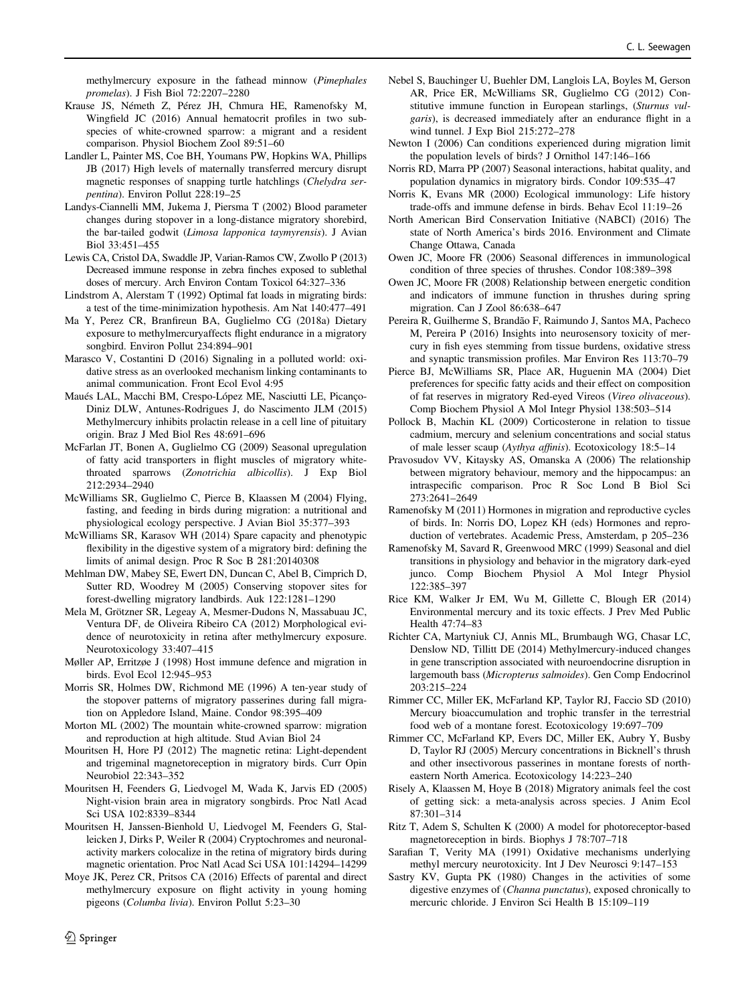<span id="page-11-0"></span>methylmercury exposure in the fathead minnow (Pimephales promelas). J Fish Biol 72:2207–2280

- Krause JS, Németh Z, Pérez JH, Chmura HE, Ramenofsky M, Wingfield JC (2016) Annual hematocrit profiles in two subspecies of white-crowned sparrow: a migrant and a resident comparison. Physiol Biochem Zool 89:51–60
- Landler L, Painter MS, Coe BH, Youmans PW, Hopkins WA, Phillips JB (2017) High levels of maternally transferred mercury disrupt magnetic responses of snapping turtle hatchlings (Chelydra serpentina). Environ Pollut 228:19–25
- Landys-Ciannelli MM, Jukema J, Piersma T (2002) Blood parameter changes during stopover in a long‐distance migratory shorebird, the bar-tailed godwit (Limosa lapponica taymyrensis). J Avian Biol 33:451–455
- Lewis CA, Cristol DA, Swaddle JP, Varian-Ramos CW, Zwollo P (2013) Decreased immune response in zebra finches exposed to sublethal doses of mercury. Arch Environ Contam Toxicol 64:327–336
- Lindstrom A, Alerstam T (1992) Optimal fat loads in migrating birds: a test of the time-minimization hypothesis. Am Nat 140:477–491
- Ma Y, Perez CR, Branfireun BA, Guglielmo CG (2018a) Dietary exposure to methylmercuryaffects flight endurance in a migratory songbird. Environ Pollut 234:894–901
- Marasco V, Costantini D (2016) Signaling in a polluted world: oxidative stress as an overlooked mechanism linking contaminants to animal communication. Front Ecol Evol 4:95
- Maués LAL, Macchi BM, Crespo-López ME, Nasciutti LE, Picanço-Diniz DLW, Antunes-Rodrigues J, do Nascimento JLM (2015) Methylmercury inhibits prolactin release in a cell line of pituitary origin. Braz J Med Biol Res 48:691–696
- McFarlan JT, Bonen A, Guglielmo CG (2009) Seasonal upregulation of fatty acid transporters in flight muscles of migratory whitethroated sparrows (Zonotrichia albicollis). J Exp Biol 212:2934–2940
- McWilliams SR, Guglielmo C, Pierce B, Klaassen M (2004) Flying, fasting, and feeding in birds during migration: a nutritional and physiological ecology perspective. J Avian Biol 35:377–393
- McWilliams SR, Karasov WH (2014) Spare capacity and phenotypic flexibility in the digestive system of a migratory bird: defining the limits of animal design. Proc R Soc B 281:20140308
- Mehlman DW, Mabey SE, Ewert DN, Duncan C, Abel B, Cimprich D, Sutter RD, Woodrey M (2005) Conserving stopover sites for forest-dwelling migratory landbirds. Auk 122:1281–1290
- Mela M, Grötzner SR, Legeay A, Mesmer-Dudons N, Massabuau JC, Ventura DF, de Oliveira Ribeiro CA (2012) Morphological evidence of neurotoxicity in retina after methylmercury exposure. Neurotoxicology 33:407–415
- Møller AP, Erritzøe J (1998) Host immune defence and migration in birds. Evol Ecol 12:945–953
- Morris SR, Holmes DW, Richmond ME (1996) A ten-year study of the stopover patterns of migratory passerines during fall migration on Appledore Island, Maine. Condor 98:395–409
- Morton ML (2002) The mountain white-crowned sparrow: migration and reproduction at high altitude. Stud Avian Biol 24
- Mouritsen H, Hore PJ (2012) The magnetic retina: Light-dependent and trigeminal magnetoreception in migratory birds. Curr Opin Neurobiol 22:343–352
- Mouritsen H, Feenders G, Liedvogel M, Wada K, Jarvis ED (2005) Night-vision brain area in migratory songbirds. Proc Natl Acad Sci USA 102:8339–8344
- Mouritsen H, Janssen-Bienhold U, Liedvogel M, Feenders G, Stalleicken J, Dirks P, Weiler R (2004) Cryptochromes and neuronalactivity markers colocalize in the retina of migratory birds during magnetic orientation. Proc Natl Acad Sci USA 101:14294–14299
- Moye JK, Perez CR, Pritsos CA (2016) Effects of parental and direct methylmercury exposure on flight activity in young homing pigeons (Columba livia). Environ Pollut 5:23–30
- Nebel S, Bauchinger U, Buehler DM, Langlois LA, Boyles M, Gerson AR, Price ER, McWilliams SR, Guglielmo CG (2012) Constitutive immune function in European starlings, (Sturnus vulgaris), is decreased immediately after an endurance flight in a wind tunnel. J Exp Biol 215:272–278
- Newton I (2006) Can conditions experienced during migration limit the population levels of birds? J Ornithol 147:146–166
- Norris RD, Marra PP (2007) Seasonal interactions, habitat quality, and population dynamics in migratory birds. Condor 109:535–47
- Norris K, Evans MR (2000) Ecological immunology: Life history trade-offs and immune defense in birds. Behav Ecol 11:19–26
- North American Bird Conservation Initiative (NABCI) (2016) The state of North America's birds 2016. Environment and Climate Change Ottawa, Canada
- Owen JC, Moore FR (2006) Seasonal differences in immunological condition of three species of thrushes. Condor 108:389–398
- Owen JC, Moore FR (2008) Relationship between energetic condition and indicators of immune function in thrushes during spring migration. Can J Zool 86:638–647
- Pereira R, Guilherme S, Brandão F, Raimundo J, Santos MA, Pacheco M, Pereira P (2016) Insights into neurosensory toxicity of mercury in fish eyes stemming from tissue burdens, oxidative stress and synaptic transmission profiles. Mar Environ Res 113:70–79
- Pierce BJ, McWilliams SR, Place AR, Huguenin MA (2004) Diet preferences for specific fatty acids and their effect on composition of fat reserves in migratory Red-eyed Vireos (Vireo olivaceous). Comp Biochem Physiol A Mol Integr Physiol 138:503–514
- Pollock B, Machin KL (2009) Corticosterone in relation to tissue cadmium, mercury and selenium concentrations and social status of male lesser scaup (Aythya affinis). Ecotoxicology 18:5–14
- Pravosudov VV, Kitaysky AS, Omanska A (2006) The relationship between migratory behaviour, memory and the hippocampus: an intraspecific comparison. Proc R Soc Lond B Biol Sci 273:2641–2649
- Ramenofsky M (2011) Hormones in migration and reproductive cycles of birds. In: Norris DO, Lopez KH (eds) Hormones and reproduction of vertebrates. Academic Press, Amsterdam, p 205–236
- Ramenofsky M, Savard R, Greenwood MRC (1999) Seasonal and diel transitions in physiology and behavior in the migratory dark-eyed junco. Comp Biochem Physiol A Mol Integr Physiol 122:385–397
- Rice KM, Walker Jr EM, Wu M, Gillette C, Blough ER (2014) Environmental mercury and its toxic effects. J Prev Med Public Health 47:74–83
- Richter CA, Martyniuk CJ, Annis ML, Brumbaugh WG, Chasar LC, Denslow ND, Tillitt DE (2014) Methylmercury-induced changes in gene transcription associated with neuroendocrine disruption in largemouth bass (Micropterus salmoides). Gen Comp Endocrinol 203:215–224
- Rimmer CC, Miller EK, McFarland KP, Taylor RJ, Faccio SD (2010) Mercury bioaccumulation and trophic transfer in the terrestrial food web of a montane forest. Ecotoxicology 19:697–709
- Rimmer CC, McFarland KP, Evers DC, Miller EK, Aubry Y, Busby D, Taylor RJ (2005) Mercury concentrations in Bicknell's thrush and other insectivorous passerines in montane forests of northeastern North America. Ecotoxicology 14:223–240
- Risely A, Klaassen M, Hoye B (2018) Migratory animals feel the cost of getting sick: a meta-analysis across species. J Anim Ecol 87:301–314
- Ritz T, Adem S, Schulten K (2000) A model for photoreceptor-based magnetoreception in birds. Biophys J 78:707–718
- Sarafian T, Verity MA (1991) Oxidative mechanisms underlying methyl mercury neurotoxicity. Int J Dev Neurosci 9:147–153
- Sastry KV, Gupta PK (1980) Changes in the activities of some digestive enzymes of (Channa punctatus), exposed chronically to mercuric chloride. J Environ Sci Health B 15:109–119